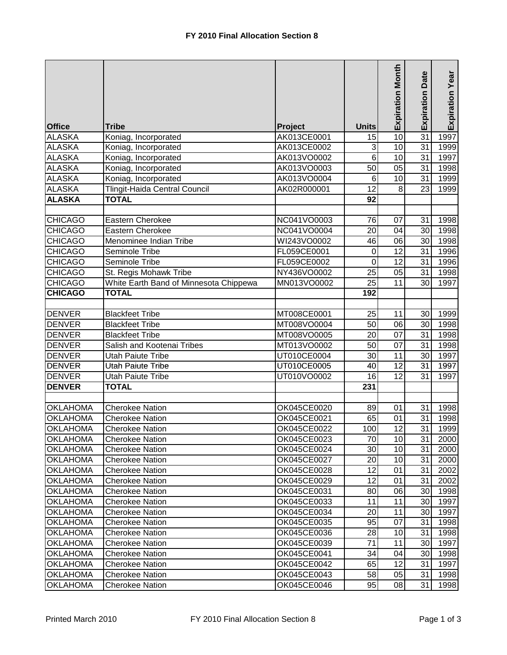|                 |                                        |             |                 | <b>Expiration Month</b> | Date<br>Expiration | Expiration Year |
|-----------------|----------------------------------------|-------------|-----------------|-------------------------|--------------------|-----------------|
| <b>Office</b>   | <b>Tribe</b>                           | Project     | <b>Units</b>    |                         |                    |                 |
| <b>ALASKA</b>   | Koniag, Incorporated                   | AK013CE0001 | 15              | 10                      | 31                 | 1997            |
| <b>ALASKA</b>   | Koniag, Incorporated                   | AK013CE0002 | 3               | 10                      | 31                 | 1999            |
| <b>ALASKA</b>   | Koniag, Incorporated                   | AK013VO0002 | $\overline{6}$  | 10                      | 31                 | 1997            |
| <b>ALASKA</b>   | Koniag, Incorporated                   | AK013VO0003 | 50              | $\overline{05}$         | 31                 | 1998            |
| <b>ALASKA</b>   | Koniag, Incorporated                   | AK013VO0004 | 6               | 10                      | 31                 | 1999            |
| <b>ALASKA</b>   | Tlingit-Haida Central Council          | AK02R000001 | 12              | 8                       | 23                 | 1999            |
| <b>ALASKA</b>   | <b>TOTAL</b>                           |             | 92              |                         |                    |                 |
| <b>CHICAGO</b>  | Eastern Cherokee                       | NC041VO0003 | 76              | 07                      | 31                 | 1998            |
| <b>CHICAGO</b>  | Eastern Cherokee                       | NC041VO0004 | 20              | 04                      | 30                 | 1998            |
| <b>CHICAGO</b>  | Menominee Indian Tribe                 | WI243VO0002 | 46              | 06                      | 30                 | 1998            |
| <b>CHICAGO</b>  | Seminole Tribe                         | FL059CE0001 | $\mathbf 0$     | 12                      | 31                 | 1996            |
| <b>CHICAGO</b>  | Seminole Tribe                         | FL059CE0002 | $\mathbf 0$     | $\overline{12}$         | 31                 | 1996            |
| <b>CHICAGO</b>  | St. Regis Mohawk Tribe                 | NY436VO0002 | 25              | $\overline{05}$         | 31                 | 1998            |
| <b>CHICAGO</b>  | White Earth Band of Minnesota Chippewa | MN013VO0002 | $\overline{25}$ | $\overline{11}$         | 30                 | 1997            |
| <b>CHICAGO</b>  | <b>TOTAL</b>                           |             | 192             |                         |                    |                 |
|                 |                                        |             |                 |                         |                    |                 |
| <b>DENVER</b>   | <b>Blackfeet Tribe</b>                 | MT008CE0001 | 25              | 11                      | 30                 | 1999            |
| <b>DENVER</b>   | <b>Blackfeet Tribe</b>                 | MT008VO0004 | 50              | 06                      | 30                 | 1998            |
| <b>DENVER</b>   | <b>Blackfeet Tribe</b>                 | MT008VO0005 | 20              | 07                      | 31                 | 1998            |
| <b>DENVER</b>   | Salish and Kootenai Tribes             | MT013VO0002 | 50              | 07                      | 31                 | 1998            |
| <b>DENVER</b>   | <b>Utah Paiute Tribe</b>               | UT010CE0004 | 30              | 11                      | 30                 | 1997            |
| <b>DENVER</b>   | <b>Utah Paiute Tribe</b>               | UT010CE0005 | 40              | 12                      | 31                 | 1997            |
| <b>DENVER</b>   | <b>Utah Paiute Tribe</b>               | UT010VO0002 | 16              | 12                      | 31                 | 1997            |
| <b>DENVER</b>   | <b>TOTAL</b>                           |             | 231             |                         |                    |                 |
|                 |                                        |             |                 |                         |                    |                 |
| <b>OKLAHOMA</b> | <b>Cherokee Nation</b>                 | OK045CE0020 | 89              | 01                      | 31                 | 1998            |
| <b>OKLAHOMA</b> | <b>Cherokee Nation</b>                 | OK045CE0021 | 65              | 01                      | 31                 | 1998            |
| <b>OKLAHOMA</b> | <b>Cherokee Nation</b>                 | OK045CE0022 | 100             | 12                      | 31                 | 1999            |
| <b>OKLAHOMA</b> | <b>Cherokee Nation</b>                 | OK045CE0023 | 70              | 10                      | 31                 | 2000            |
| <b>OKLAHOMA</b> | <b>Cherokee Nation</b>                 | OK045CE0024 | 30              | 10                      | 31                 | 2000            |
| <b>OKLAHOMA</b> | <b>Cherokee Nation</b>                 | OK045CE0027 | 20              | 10                      | 31                 | 2000            |
| <b>OKLAHOMA</b> | <b>Cherokee Nation</b>                 | OK045CE0028 | 12              | 01                      | 31                 | 2002            |
| <b>OKLAHOMA</b> | Cherokee Nation                        | OK045CE0029 | 12              | 01                      | 31                 | 2002            |
| <b>OKLAHOMA</b> | <b>Cherokee Nation</b>                 | OK045CE0031 | 80              | 06                      | 30 <sub>l</sub>    | 1998            |
| <b>OKLAHOMA</b> | Cherokee Nation                        | OK045CE0033 | 11              | 11                      | 30                 | 1997            |
| <b>OKLAHOMA</b> | Cherokee Nation                        | OK045CE0034 | 20              | 11                      | 30                 | 1997            |
| <b>OKLAHOMA</b> | Cherokee Nation                        | OK045CE0035 | 95              | 07                      | 31                 | 1998            |
| <b>OKLAHOMA</b> | <b>Cherokee Nation</b>                 | OK045CE0036 | 28              | 10                      | 31                 | 1998            |
| <b>OKLAHOMA</b> | <b>Cherokee Nation</b>                 | OK045CE0039 | 71              | 11                      | 30                 | 1997            |
| <b>OKLAHOMA</b> | <b>Cherokee Nation</b>                 | OK045CE0041 | 34              | 04                      | 30                 | 1998            |
| <b>OKLAHOMA</b> | <b>Cherokee Nation</b>                 | OK045CE0042 | 65              | 12                      | 31                 | 1997            |
| <b>OKLAHOMA</b> | <b>Cherokee Nation</b>                 | OK045CE0043 | 58              | 05                      | 31                 | 1998            |
| <b>OKLAHOMA</b> | <b>Cherokee Nation</b>                 | OK045CE0046 | 95              | 08                      | 31                 | 1998            |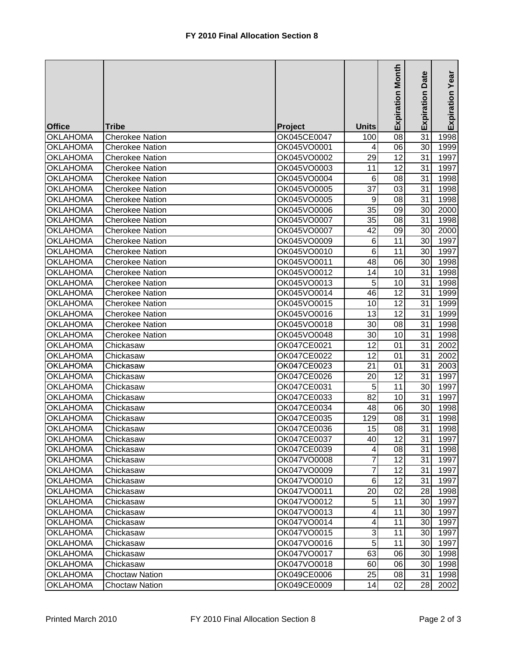|                 |                        |             |                         | <b>Expiration Month</b> | <b>Date</b><br>Expiration | Expiration Year |
|-----------------|------------------------|-------------|-------------------------|-------------------------|---------------------------|-----------------|
| <b>Office</b>   | <b>Tribe</b>           | Project     | <b>Units</b>            |                         |                           |                 |
| <b>OKLAHOMA</b> | <b>Cherokee Nation</b> | OK045CE0047 | 100                     | 08                      | 31                        | 1998            |
| <b>OKLAHOMA</b> | <b>Cherokee Nation</b> | OK045VO0001 | 4                       | 06                      | 30                        | 1999            |
| <b>OKLAHOMA</b> | <b>Cherokee Nation</b> | OK045VO0002 | 29                      | 12                      | 31                        | 1997            |
| <b>OKLAHOMA</b> | <b>Cherokee Nation</b> | OK045VO0003 | 11                      | 12                      | 31                        | 1997            |
| <b>OKLAHOMA</b> | <b>Cherokee Nation</b> | OK045VO0004 | 6                       | 08                      | 31                        | 1998            |
| <b>OKLAHOMA</b> | <b>Cherokee Nation</b> | OK045VO0005 | 37                      | 03                      | 31                        | 1998            |
| <b>OKLAHOMA</b> | Cherokee Nation        | OK045VO0005 | 9                       | 08                      | 31                        | 1998            |
| <b>OKLAHOMA</b> | <b>Cherokee Nation</b> | OK045VO0006 | 35                      | 09                      | 30                        | 2000            |
| <b>OKLAHOMA</b> | <b>Cherokee Nation</b> | OK045VO0007 | 35                      | 08                      | 31                        | 1998            |
| <b>OKLAHOMA</b> | <b>Cherokee Nation</b> | OK045VO0007 | 42                      | 09                      | 30                        | 2000            |
| <b>OKLAHOMA</b> | <b>Cherokee Nation</b> | OK045VO0009 | 6                       | 11                      | 30                        | 1997            |
| <b>OKLAHOMA</b> | <b>Cherokee Nation</b> | OK045VO0010 | $\,6$                   | 11                      | 30                        | 1997            |
| <b>OKLAHOMA</b> | <b>Cherokee Nation</b> | OK045VO0011 | 48                      | 06                      | 30                        | 1998            |
| <b>OKLAHOMA</b> | <b>Cherokee Nation</b> | OK045VO0012 | 14                      | 10                      | 31                        | 1998            |
| <b>OKLAHOMA</b> | <b>Cherokee Nation</b> | OK045VO0013 | 5                       | 10                      | 31                        | 1998            |
| <b>OKLAHOMA</b> | <b>Cherokee Nation</b> | OK045VO0014 | 46                      | 12                      | 31                        | 1999            |
| <b>OKLAHOMA</b> | <b>Cherokee Nation</b> | OK045VO0015 | 10                      | 12                      | 31                        | 1999            |
| <b>OKLAHOMA</b> | <b>Cherokee Nation</b> | OK045VO0016 | 13                      | 12                      | 31                        | 1999            |
| <b>OKLAHOMA</b> | <b>Cherokee Nation</b> | OK045VO0018 | 30                      | 08                      | 31                        | 1998            |
| <b>OKLAHOMA</b> | <b>Cherokee Nation</b> | OK045VO0048 | 30                      | 10                      | 31                        | 1998            |
| <b>OKLAHOMA</b> | Chickasaw              | OK047CE0021 | 12                      | 01                      | 31                        | 2002            |
| <b>OKLAHOMA</b> | Chickasaw              | OK047CE0022 | 12                      | 01                      | 31                        | 2002            |
| <b>OKLAHOMA</b> | Chickasaw              | OK047CE0023 | 21                      | 01                      | 31                        | 2003            |
| <b>OKLAHOMA</b> | Chickasaw              | OK047CE0026 | 20                      | 12                      | 31                        | 1997            |
| <b>OKLAHOMA</b> | Chickasaw              | OK047CE0031 | 5                       | 11                      | 30                        | 1997            |
| <b>OKLAHOMA</b> | Chickasaw              | OK047CE0033 | 82                      | 10                      | 31                        | 1997            |
| <b>OKLAHOMA</b> | Chickasaw              | OK047CE0034 | 48                      | 06                      | 30                        | 1998            |
| <b>OKLAHOMA</b> | Chickasaw              | OK047CE0035 | 129                     | 08                      | 31                        | 1998            |
| <b>OKLAHOMA</b> | Chickasaw              | OK047CE0036 | 15                      | 08                      | 31                        | 1998            |
| <b>OKLAHOMA</b> | Chickasaw              | OK047CE0037 | 40                      | 12                      | 31                        | 1997            |
| <b>OKLAHOMA</b> | Chickasaw              | OK047CE0039 | 4                       | 08                      | 31                        | 1998            |
| <b>OKLAHOMA</b> | Chickasaw              | OK047VO0008 | $\overline{7}$          | 12                      | 31                        | 1997            |
| <b>OKLAHOMA</b> | Chickasaw              | OK047VO0009 | 7                       | 12                      | 31                        | 1997            |
| <b>OKLAHOMA</b> | Chickasaw              | OK047VO0010 | 6                       | 12                      | 31                        | 1997            |
| <b>OKLAHOMA</b> | Chickasaw              | OK047VO0011 | 20                      | 02                      | 28                        | 1998            |
| <b>OKLAHOMA</b> | Chickasaw              | OK047VO0012 | $\mathbf 5$             | 11                      | 30                        | 1997            |
| <b>OKLAHOMA</b> | Chickasaw              | OK047VO0013 | $\overline{\mathbf{4}}$ | 11                      | 30                        | 1997            |
| <b>OKLAHOMA</b> | Chickasaw              | OK047VO0014 | $\overline{\mathbf{4}}$ | 11                      | 30                        | 1997            |
| <b>OKLAHOMA</b> | Chickasaw              | OK047VO0015 | $\overline{3}$          | 11                      | 30 <sup>l</sup>           | 1997            |
| <b>OKLAHOMA</b> | Chickasaw              | OK047VO0016 | 5                       | 11                      | 30                        | 1997            |
| <b>OKLAHOMA</b> | Chickasaw              | OK047VO0017 | 63                      | 06                      | 30                        | 1998            |
| <b>OKLAHOMA</b> | Chickasaw              | OK047VO0018 | 60                      | 06                      | 30                        | 1998            |
| <b>OKLAHOMA</b> | <b>Choctaw Nation</b>  | OK049CE0006 | 25                      | 08                      | 31                        | 1998            |
| <b>OKLAHOMA</b> | <b>Choctaw Nation</b>  | OK049CE0009 | 14                      | 02                      | 28                        | 2002            |